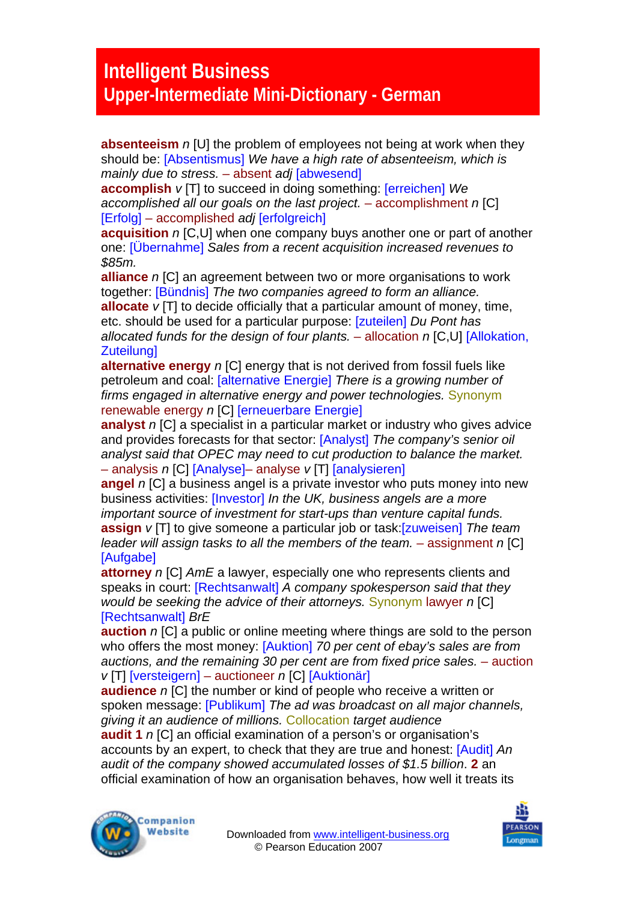## **Intelligent Business Upper-Intermediate Mini-Dictionary - German**

**absenteeism** *n* [U] the problem of employees not being at work when they should be: [Absentismus] *We have a high rate of absenteeism, which is mainly due to stress.* – absent *adj* [abwesend]

**accomplish** *v* [T] to succeed in doing something: [erreichen] *We accomplished all our goals on the last project.* – accomplishment *n* [C] [Erfolg] – accomplished *adj* [erfolgreich]

**acquisition** *n* [C,U] when one company buys another one or part of another one: [Übernahme] *Sales from a recent acquisition increased revenues to \$85m.* 

**alliance** *n* [C] an agreement between two or more organisations to work together: [Bündnis] *The two companies agreed to form an alliance.* **allocate** *v* [T] to decide officially that a particular amount of money, time, etc. should be used for a particular purpose: [zuteilen] *Du Pont has allocated funds for the design of four plants.* – allocation *n* [C,U] [Allokation, **Zuteilungl** 

**alternative energy** *n* [C] energy that is not derived from fossil fuels like petroleum and coal: [alternative Energie] *There is a growing number of firms engaged in alternative energy and power technologies.* Synonym renewable energy *n* [C] [erneuerbare Energie]

**analyst** *n* [C] a specialist in a particular market or industry who gives advice and provides forecasts for that sector: [Analyst] *The company's senior oil analyst said that OPEC may need to cut production to balance the market.*  – analysis *n* [C] [Analyse]– analyse *v* [T] [analysieren]

**angel** *n* [C] a business angel is a private investor who puts money into new business activities: [Investor] *In the UK, business angels are a more important source of investment for start-ups than venture capital funds.*  **assign** *v* [T] to give someone a particular job or task:[zuweisen] *The team leader will assign tasks to all the members of the team.* – assignment *n* [C] [Aufgabe]

**attorney** *n* [C] *AmE* a lawyer, especially one who represents clients and speaks in court: [Rechtsanwalt] *A company spokesperson said that they would be seeking the advice of their attorneys.* Synonym lawyer *n* [C] [Rechtsanwalt] *BrE* 

**auction** *n* [C] a public or online meeting where things are sold to the person who offers the most money: [Auktion] *70 per cent of ebay's sales are from* auctions, and the remaining 30 per cent are from fixed price sales. – auction *v* [T] [versteigern] – auctioneer *n* [C] [Auktionär]

**audience** *n* [C] the number or kind of people who receive a written or spoken message: [Publikum] *The ad was broadcast on all major channels, giving it an audience of millions.* Collocation *target audience* 

**audit 1** *n* [C] an official examination of a person's or organisation's accounts by an expert, to check that they are true and honest: [Audit] *An audit of the company showed accumulated losses of \$1.5 billion*. **2** an official examination of how an organisation behaves, how well it treats its



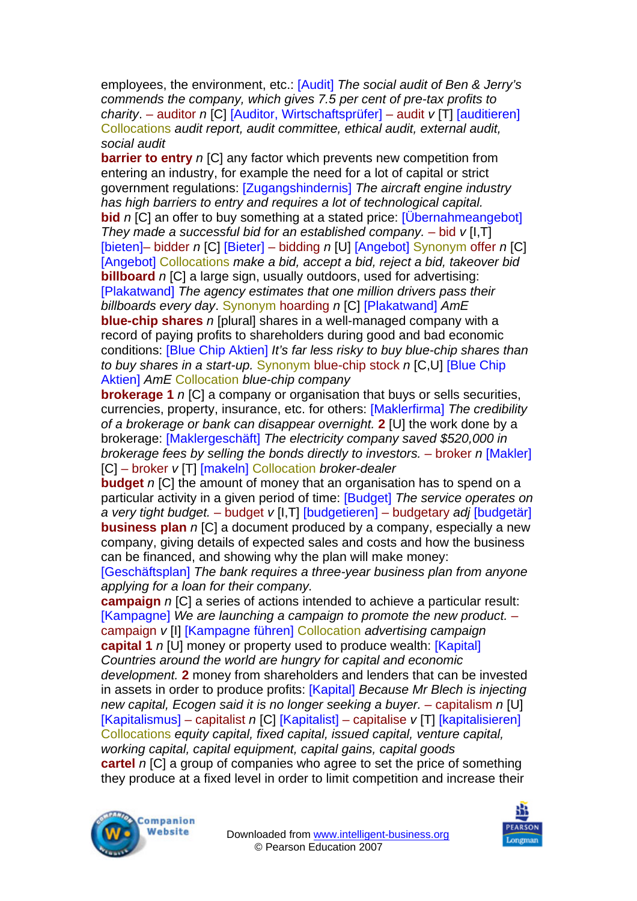employees, the environment, etc.: [Audit] *The social audit of Ben & Jerry's commends the company, which gives 7.5 per cent of pre-tax profits to charity*. – auditor *n* [C] [Auditor, Wirtschaftsprüfer] – audit *v* [T] [auditieren] Collocations *audit report, audit committee, ethical audit, external audit, social audit*

**barrier to entry** *n* [C] any factor which prevents new competition from entering an industry, for example the need for a lot of capital or strict government regulations: [Zugangshindernis] *The aircraft engine industry has high barriers to entry and requires a lot of technological capital.*  **bid** *n* [C] an offer to buy something at a stated price: [Upernahmeangebot] *They made a successful bid for an established company.* – bid  $v$  [I, T] [bieten]– bidder *n* [C] [Bieter] – bidding *n* [U] [Angebot] Synonym offer *n* [C] [Angebot] Collocations *make a bid, accept a bid, reject a bid, takeover bid*  **billboard** *n* [C] a large sign, usually outdoors, used for advertising: [Plakatwand] *The agency estimates that one million drivers pass their billboards every day*. Synonym hoarding *n* [C] [Plakatwand] *AmE*  **blue-chip shares** *n* [plural] shares in a well-managed company with a record of paying profits to shareholders during good and bad economic conditions: [Blue Chip Aktien] *It's far less risky to buy blue-chip shares than to buy shares in a start-up.* Synonym blue-chip stock *n* [C,U] [Blue Chip Aktien] *AmE* Collocation *blue-chip company*

**brokerage 1** *n* ICI a company or organisation that buys or sells securities, currencies, property, insurance, etc. for others: [Maklerfirma] *The credibility of a brokerage or bank can disappear overnight.* **2** [U] the work done by a brokerage: [Maklergeschäft] *The electricity company saved \$520,000 in brokerage fees by selling the bonds directly to investors. – broker n [Makler]* [C] – broker *v* [T] [makeln] Collocation *broker-dealer* 

**budget** *n* [C] the amount of money that an organisation has to spend on a particular activity in a given period of time: [Budget] *The service operates on a very tight budget.* – budget *v* [I,T] [budgetieren] – budgetary *adj* [budgetär] **business plan** *n* [C] a document produced by a company, especially a new company, giving details of expected sales and costs and how the business can be financed, and showing why the plan will make money:

[Geschäftsplan] *The bank requires a three-year business plan from anyone applying for a loan for their company.* 

**campaign** *n* [C] a series of actions intended to achieve a particular result: [Kampagne] *We are launching a campaign to promote the new product.* – campaign *v* [I] [Kampagne führen] Collocation *advertising campaign*  **capital 1** *n* [U] money or property used to produce wealth: [Kapital] *Countries around the world are hungry for capital and economic development.* **2** money from shareholders and lenders that can be invested in assets in order to produce profits: [Kapital] *Because Mr Blech is injecting new capital, Ecogen said it is no longer seeking a buyer. – capitalism n [U]* [Kapitalismus] – capitalist *n* [C] [Kapitalist] – capitalise *v* [T] [kapitalisieren] Collocations *equity capital, fixed capital, issued capital, venture capital, working capital, capital equipment, capital gains, capital goods* 

**cartel** *n* [C] a group of companies who agree to set the price of something they produce at a fixed level in order to limit competition and increase their



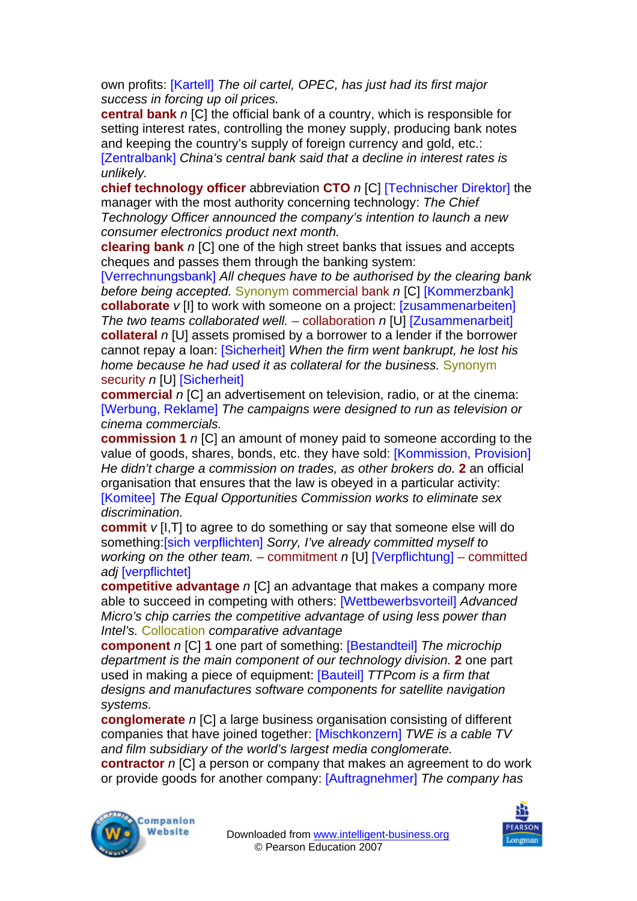own profits: [Kartell] *The oil cartel, OPEC, has just had its first major success in forcing up oil prices.* 

**central bank** *n* [C] the official bank of a country, which is responsible for setting interest rates, controlling the money supply, producing bank notes and keeping the country's supply of foreign currency and gold, etc.:

[Zentralbank] *China's central bank said that a decline in interest rates is unlikely.* 

**chief technology officer** abbreviation **CTO** *n* [C] [Technischer Direktor] the manager with the most authority concerning technology: *The Chief Technology Officer announced the company's intention to launch a new consumer electronics product next month.* 

**clearing bank** *n* [C] one of the high street banks that issues and accepts cheques and passes them through the banking system:

[Verrechnungsbank] *All cheques have to be authorised by the clearing bank before being accepted.* Synonym commercial bank *n* [C] [Kommerzbank] **collaborate**  $v$  [I] to work with someone on a project: **[zusammenarbeiten]** *The two teams collaborated well.* – collaboration *n* [U] [Zusammenarbeit] **collateral** *n* [U] assets promised by a borrower to a lender if the borrower cannot repay a loan: [Sicherheit] *When the firm went bankrupt, he lost his home because he had used it as collateral for the business.* Synonym security *n* [U] [Sicherheit]

**commercial** *n* [C] an advertisement on television, radio, or at the cinema: [Werbung, Reklame] *The campaigns were designed to run as television or cinema commercials.*

**commission 1** *n* [C] an amount of money paid to someone according to the value of goods, shares, bonds, etc. they have sold: [Kommission, Provision] *He didn't charge a commission on trades, as other brokers do.* **2** an official organisation that ensures that the law is obeyed in a particular activity: [Komitee] *The Equal Opportunities Commission works to eliminate sex discrimination.* 

**commit** *v* [I,T] to agree to do something or say that someone else will do something:[sich verpflichten] *Sorry, I've already committed myself to working on the other team.* – commitment *n* [U] [Verpflichtung] – committed *adj* [verpflichtet]

**competitive advantage** *n* [C] an advantage that makes a company more able to succeed in competing with others: [Wettbewerbsvorteil] *Advanced Micro's chip carries the competitive advantage of using less power than Intel's.* Collocation *comparative advantage* 

**component** *n* [C] **1** one part of something: [Bestandteil] *The microchip department is the main component of our technology division.* **2** one part used in making a piece of equipment: [Bauteil] *TTPcom is a firm that designs and manufactures software components for satellite navigation systems.* 

**conglomerate** *n* [C] a large business organisation consisting of different companies that have joined together: [Mischkonzern] *TWE is a cable TV and film subsidiary of the world's largest media conglomerate.* 

**contractor** *n* [C] a person or company that makes an agreement to do work or provide goods for another company: [Auftragnehmer] *The company has* 



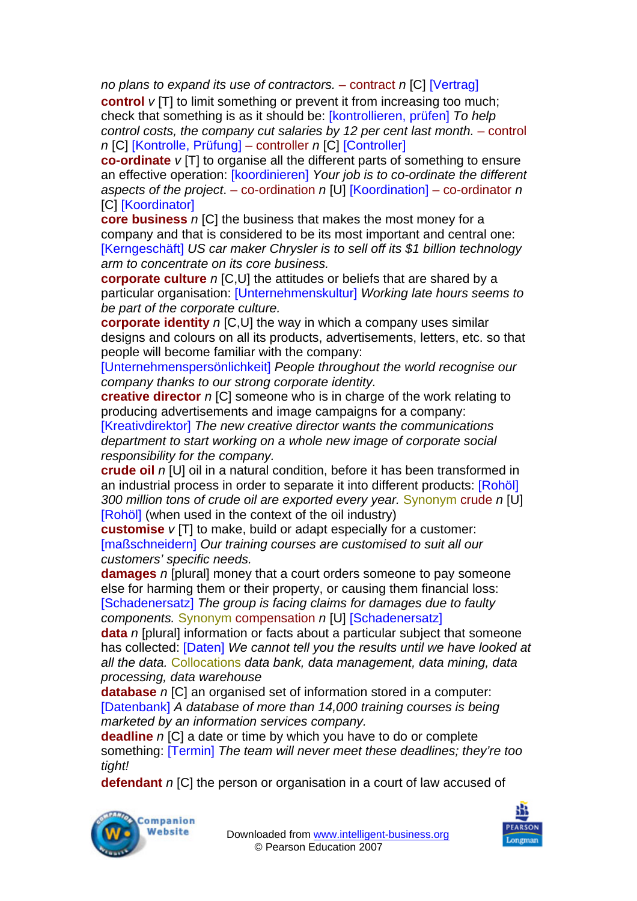*no plans to expand its use of contractors. – contract n [C] [Vertrag]* 

**control** *v* [T] to limit something or prevent it from increasing too much; check that something is as it should be: [kontrollieren, prüfen] *To help control costs, the company cut salaries by 12 per cent last month. – control n* [C] [Kontrolle, Prüfung] – controller *n* [C] [Controller]

**co-ordinate** *v* [T] to organise all the different parts of something to ensure an effective operation: [koordinieren] *Your job is to co-ordinate the different aspects of the project*. – co-ordination *n* [U] [Koordination] – co-ordinator *n*  [C] [Koordinator]

**core business** *n* [C] the business that makes the most money for a company and that is considered to be its most important and central one: [Kerngeschäft] *US car maker Chrysler is to sell off its \$1 billion technology arm to concentrate on its core business.* 

**corporate culture** *n* [C,U] the attitudes or beliefs that are shared by a particular organisation: [Unternehmenskultur] *Working late hours seems to be part of the corporate culture.* 

**corporate identity** *n* [C,U] the way in which a company uses similar designs and colours on all its products, advertisements, letters, etc. so that people will become familiar with the company:

[Unternehmenspersönlichkeit] *People throughout the world recognise our company thanks to our strong corporate identity.* 

**creative director** *n* [C] someone who is in charge of the work relating to producing advertisements and image campaigns for a company: [Kreativdirektor] *The new creative director wants the communications department to start working on a whole new image of corporate social* 

*responsibility for the company.* 

**crude oil** *n* [U] oil in a natural condition, before it has been transformed in an industrial process in order to separate it into different products: [Rohöl] *300 million tons of crude oil are exported every year.* Synonym crude *n* [U] [Rohöl] (when used in the context of the oil industry)

**customise** *v* [T] to make, build or adapt especially for a customer: [maßschneidern] *Our training courses are customised to suit all our customers' specific needs.* 

**damages** *n* [plural] money that a court orders someone to pay someone else for harming them or their property, or causing them financial loss: [Schadenersatz] *The group is facing claims for damages due to faulty components.* Synonym compensation *n* [U] [Schadenersatz]

**data** *n* [plural] information or facts about a particular subject that someone has collected: [Daten] *We cannot tell you the results until we have looked at all the data.* Collocations *data bank, data management, data mining, data processing, data warehouse* 

**database** *n* [C] an organised set of information stored in a computer: [Datenbank] *A database of more than 14,000 training courses is being marketed by an information services company.* 

**deadline** *n* [C] a date or time by which you have to do or complete something: [Termin] *The team will never meet these deadlines; they're too tight!* 

**defendant** *n* [C] the person or organisation in a court of law accused of



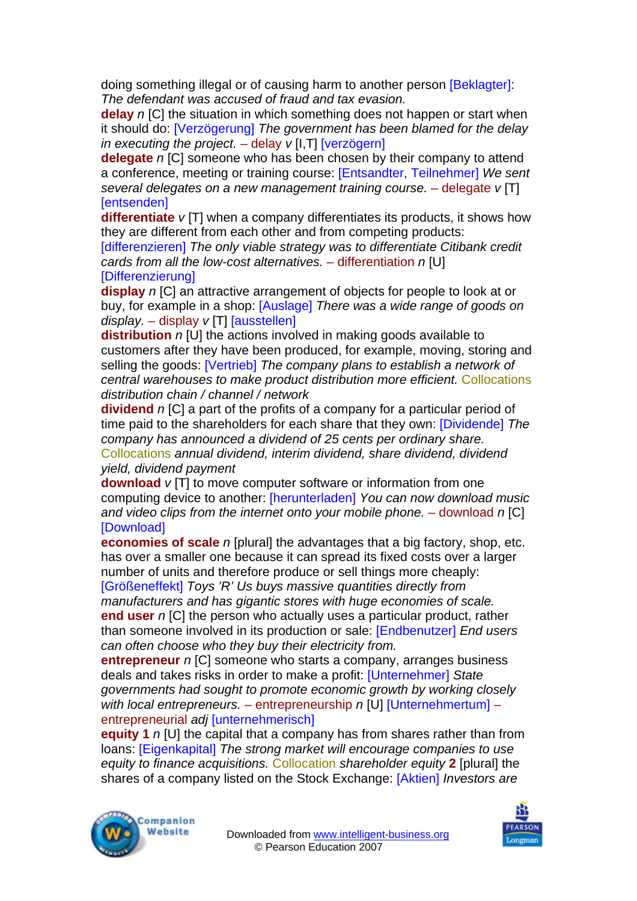doing something illegal or of causing harm to another person [Beklagter]: *The defendant was accused of fraud and tax evasion.* 

**delay** *n* [C] the situation in which something does not happen or start when it should do: [Verzögerung] *The government has been blamed for the delay in executing the project.* – delay *v* [I,T] [verzögern]

**delegate** *n* [C] someone who has been chosen by their company to attend a conference, meeting or training course: [Entsandter, Teilnehmer] *We sent several delegates on a new management training course.* – delegate *v* [T] [entsenden]

**differentiate** *v* [T] when a company differentiates its products, it shows how they are different from each other and from competing products:

[differenzieren] *The only viable strategy was to differentiate Citibank credit cards from all the low-cost alternatives.* – differentiation *n* [U] [Differenzierung]

**display** *n* [C] an attractive arrangement of objects for people to look at or buy, for example in a shop: [Auslage] *There was a wide range of goods on display.* – display *v* [T] [ausstellen]

**distribution** *n* [U] the actions involved in making goods available to customers after they have been produced, for example, moving, storing and selling the goods: [Vertrieb] *The company plans to establish a network of central warehouses to make product distribution more efficient.* Collocations *distribution chain / channel / network* 

**dividend** *n* [C] a part of the profits of a company for a particular period of time paid to the shareholders for each share that they own: [Dividende] *The company has announced a dividend of 25 cents per ordinary share.*  Collocations *annual dividend, interim dividend, share dividend, dividend yield, dividend payment* 

**download** *v* [T] to move computer software or information from one computing device to another: [herunterladen] *You can now download music and video clips from the internet onto your mobile phone.* – download *n* [C] **[Download]** 

**economies of scale** *n* [plural] the advantages that a big factory, shop, etc. has over a smaller one because it can spread its fixed costs over a larger number of units and therefore produce or sell things more cheaply:

[Größeneffekt] *Toys 'R' Us buys massive quantities directly from manufacturers and has gigantic stores with huge economies of scale.*  **end user** *n* [C] the person who actually uses a particular product, rather than someone involved in its production or sale: [Endbenutzer] *End users can often choose who they buy their electricity from.* 

**entrepreneur** *n* [C] someone who starts a company, arranges business deals and takes risks in order to make a profit: [Unternehmer] *State governments had sought to promote economic growth by working closely with local entrepreneurs.* – entrepreneurship *n* [U] [Unternehmertum] – entrepreneurial *adj* [unternehmerisch]

**equity 1** *n* [U] the capital that a company has from shares rather than from loans: [Eigenkapital] *The strong market will encourage companies to use equity to finance acquisitions.* Collocation *shareholder equity* **2** [plural] the shares of a company listed on the Stock Exchange: [Aktien] *Investors are* 



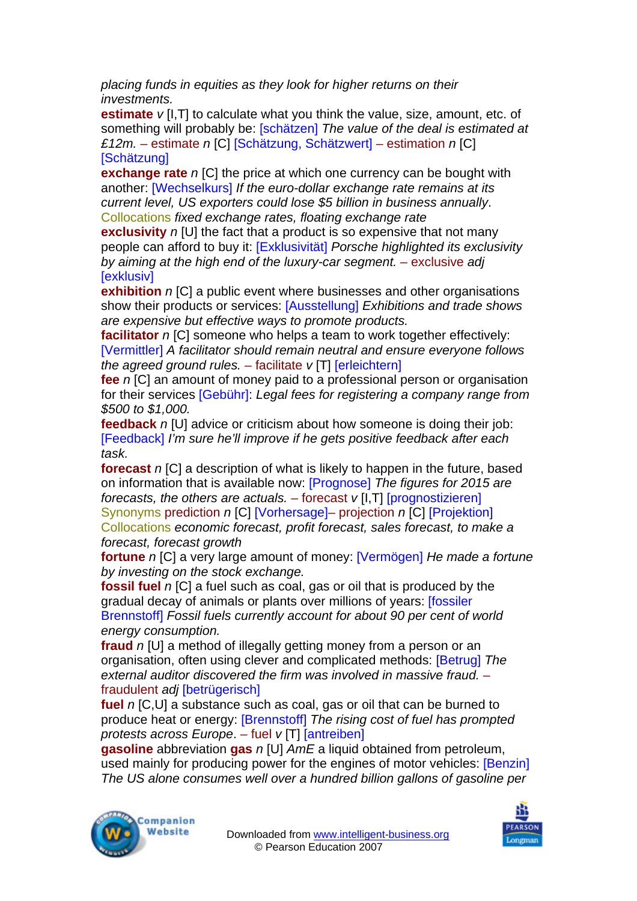*placing funds in equities as they look for higher returns on their investments.* 

**estimate**  $v$  [I, T] to calculate what you think the value, size, amount, etc. of something will probably be: [schätzen] *The value of the deal is estimated at £12m.* – estimate *n* [C] [Schätzung, Schätzwert] – estimation *n* [C] **[Schätzung]** 

**exchange rate** *n* ICI the price at which one currency can be bought with another: [Wechselkurs] *If the euro-dollar exchange rate remains at its current level, US exporters could lose \$5 billion in business annually*. Collocations *fixed exchange rates, floating exchange rate* 

**exclusivity** *n* [U] the fact that a product is so expensive that not many people can afford to buy it: [Exklusivität] *Porsche highlighted its exclusivity by aiming at the high end of the luxury-car segment.* – exclusive *adj*  **[exklusiv]** 

**exhibition** *n* [C] a public event where businesses and other organisations show their products or services: [Ausstellung] *Exhibitions and trade shows are expensive but effective ways to promote products.* 

**facilitator** *n* [C] someone who helps a team to work together effectively: [Vermittler] *A facilitator should remain neutral and ensure everyone follows the agreed ground rules.* – facilitate *v* [T] [erleichtern]

**fee** *n* [C] an amount of money paid to a professional person or organisation for their services [Gebühr]: *Legal fees for registering a company range from \$500 to \$1,000.* 

**feedback** *n* [U] advice or criticism about how someone is doing their job: [Feedback] *I'm sure he'll improve if he gets positive feedback after each task.* 

**forecast** *n* [C] a description of what is likely to happen in the future, based on information that is available now: [Prognose] *The figures for 2015 are forecasts, the others are actuals.* – forecast *v* [I,T] [prognostizieren] Synonyms prediction *n* [C] [Vorhersage]– projection *n* [C] [Projektion] Collocations *economic forecast, profit forecast, sales forecast, to make a forecast, forecast growth* 

**fortune** *n* [C] a very large amount of money: [Vermögen] *He made a fortune by investing on the stock exchange.* 

**fossil fuel** *n* [C] a fuel such as coal, gas or oil that is produced by the gradual decay of animals or plants over millions of years: [fossiler Brennstoff] *Fossil fuels currently account for about 90 per cent of world energy consumption.* 

**fraud** *n* [U] a method of illegally getting money from a person or an organisation, often using clever and complicated methods: [Betrug] *The external auditor discovered the firm was involved in massive fraud.* – fraudulent *adj* [betrügerisch]

**fuel** *n* [C,U] a substance such as coal, gas or oil that can be burned to produce heat or energy: [Brennstoff] *The rising cost of fuel has prompted protests across Europe*. – fuel *v* [T] [antreiben]

**gasoline** abbreviation **gas** *n* [U] *AmE* a liquid obtained from petroleum, used mainly for producing power for the engines of motor vehicles: [Benzin] *The US alone consumes well over a hundred billion gallons of gasoline per* 



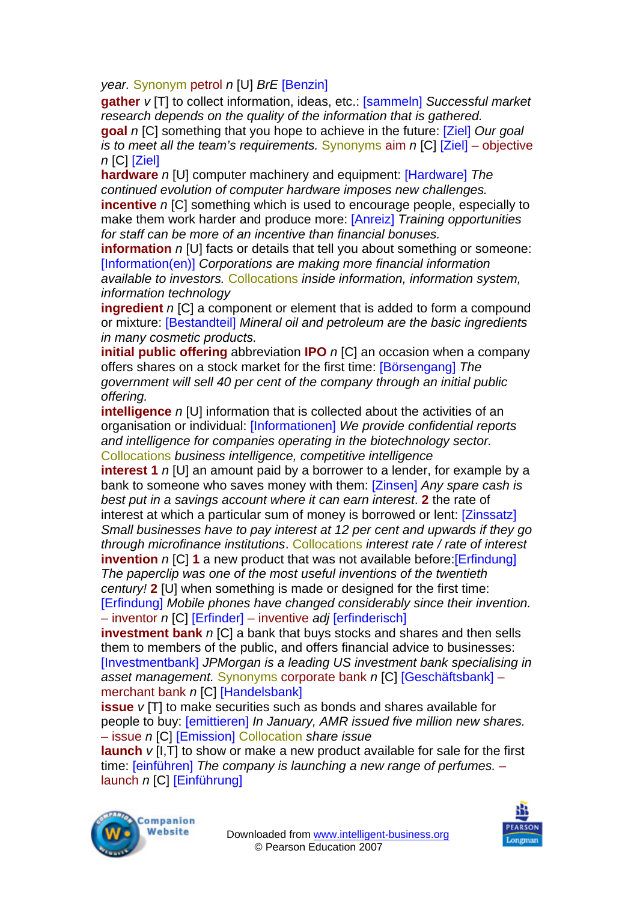*year.* Synonym petrol *n* [U] *BrE* [Benzin]

**gather** *v* [T] to collect information, ideas, etc.: [sammeln] *Successful market research depends on the quality of the information that is gathered.* 

**goal** *n* [C] something that you hope to achieve in the future: [Ziel] *Our goal is to meet all the team's requirements.* Synonyms aim *n* [C] [Ziel] – objective *n* [C] [Ziel]

**hardware** *n* [U] computer machinery and equipment: [Hardware] *The continued evolution of computer hardware imposes new challenges.*  **incentive** *n* [C] something which is used to encourage people, especially to make them work harder and produce more: [Anreiz] *Training opportunities for staff can be more of an incentive than financial bonuses.* 

**information** *n* [U] facts or details that tell you about something or someone: [Information(en)] *Corporations are making more financial information available to investors.* Collocations *inside information, information system, information technology*

**ingredient** *n* [C] a component or element that is added to form a compound or mixture: [Bestandteil] *Mineral oil and petroleum are the basic ingredients in many cosmetic products.* 

**initial public offering** abbreviation **IPO** *n* [C] an occasion when a company offers shares on a stock market for the first time: [Börsengang] *The government will sell 40 per cent of the company through an initial public offering.* 

**intelligence** *n* [U] information that is collected about the activities of an organisation or individual: [Informationen] *We provide confidential reports and intelligence for companies operating in the biotechnology sector.*  Collocations *business intelligence, competitive intelligence* 

**interest 1** *n* [U] an amount paid by a borrower to a lender, for example by a bank to someone who saves money with them: [Zinsen] *Any spare cash is best put in a savings account where it can earn interest*. **2** the rate of interest at which a particular sum of money is borrowed or lent: [Zinssatz] *Small businesses have to pay interest at 12 per cent and upwards if they go through microfinance institutions*. Collocations *interest rate / rate of interest*  **invention** *n* [C] **1** a new product that was not available before: [Erfindung] *The paperclip was one of the most useful inventions of the twentieth century!* **2** [U] when something is made or designed for the first time: [Erfindung] *Mobile phones have changed considerably since their invention.*  – inventor *n* [C] [Erfinder] – inventive *adj* [erfinderisch]

**investment bank** *n* [C] a bank that buys stocks and shares and then sells them to members of the public, and offers financial advice to businesses: [Investmentbank] *JPMorgan is a leading US investment bank specialising in asset management.* Synonyms corporate bank *n* [C] [Geschäftsbank] – merchant bank *n* [C] [Handelsbank]

**issue** *v* [T] to make securities such as bonds and shares available for people to buy: [emittieren] *In January, AMR issued five million new shares.*  – issue *n* [C] [Emission] Collocation *share issue* 

**launch** *v* [I,T] to show or make a new product available for sale for the first time: [einführen] *The company is launching a new range of perfumes.* – launch *n* [C] [Einführung]



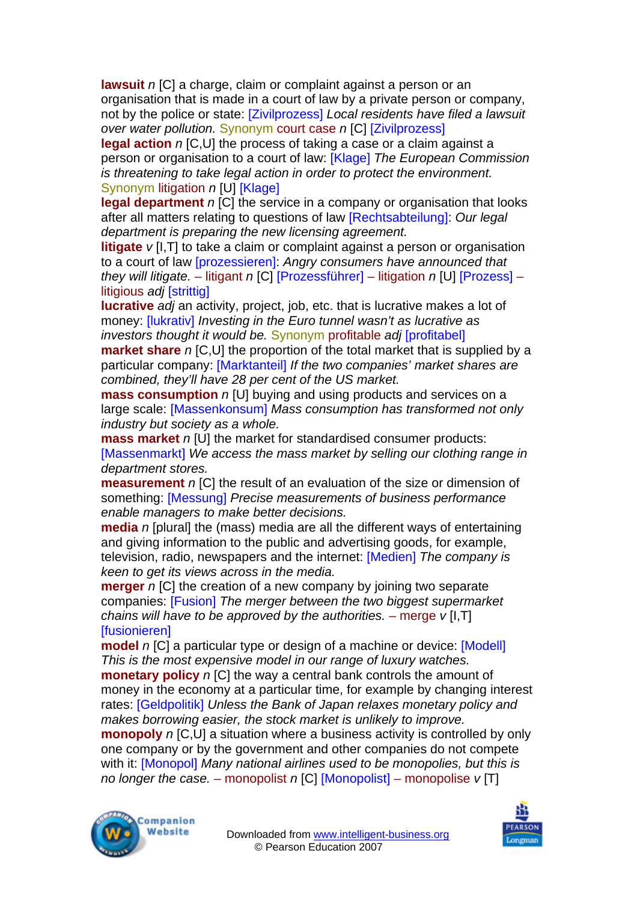**lawsuit** *n* [C] a charge, claim or complaint against a person or an organisation that is made in a court of law by a private person or company, not by the police or state: [Zivilprozess] *Local residents have filed a lawsuit over water pollution.* Synonym court case *n* [C] [Zivilprozess]

**legal action** *n* [C,U] the process of taking a case or a claim against a person or organisation to a court of law: [Klage] *The European Commission is threatening to take legal action in order to protect the environment.*  Synonym litigation *n* [U] [Klage]

**legal department** *n* [C] the service in a company or organisation that looks after all matters relating to questions of law [Rechtsabteilung]: *Our legal department is preparing the new licensing agreement.* 

**litigate** *v* [I, T] to take a claim or complaint against a person or organisation to a court of law [prozessieren]: *Angry consumers have announced that they will litigate.* – litigant *n* [C] [Prozessführer] – litigation *n* [U] [Prozess] – litigious *adj* [strittig]

**lucrative** *adj* an activity, project, job, etc. that is lucrative makes a lot of money: [lukrativ] *Investing in the Euro tunnel wasn't as lucrative as investors thought it would be.* Synonym profitable *adj* [profitabel]

**market share** *n* [C,U] the proportion of the total market that is supplied by a particular company: [Marktanteil] *If the two companies' market shares are combined, they'll have 28 per cent of the US market.* 

**mass consumption** *n* [U] buying and using products and services on a large scale: [Massenkonsum] *Mass consumption has transformed not only industry but society as a whole.* 

**mass market** *n* [U] the market for standardised consumer products: [Massenmarkt] *We access the mass market by selling our clothing range in department stores.* 

**measurement** *n* [C] the result of an evaluation of the size or dimension of something: [Messung] *Precise measurements of business performance enable managers to make better decisions.* 

**media** *n* [plural] the (mass) media are all the different ways of entertaining and giving information to the public and advertising goods, for example, television, radio, newspapers and the internet: [Medien] *The company is keen to get its views across in the media.* 

**merger** *n* [C] the creation of a new company by joining two separate companies: [Fusion] *The merger between the two biggest supermarket chains will have to be approved by the authorities. – merge*  $v$  *[I,T]* **[fusionieren]** 

**model** *n* [C] a particular type or design of a machine or device: [Modell] *This is the most expensive model in our range of luxury watches.* 

**monetary policy** *n* [C] the way a central bank controls the amount of money in the economy at a particular time, for example by changing interest rates: [Geldpolitik] *Unless the Bank of Japan relaxes monetary policy and makes borrowing easier, the stock market is unlikely to improve.* 

**monopoly** *n* [C,U] a situation where a business activity is controlled by only one company or by the government and other companies do not compete with it: [Monopol] *Many national airlines used to be monopolies, but this is no longer the case.* – monopolist *n* [C] [Monopolist] – monopolise *v* [T]



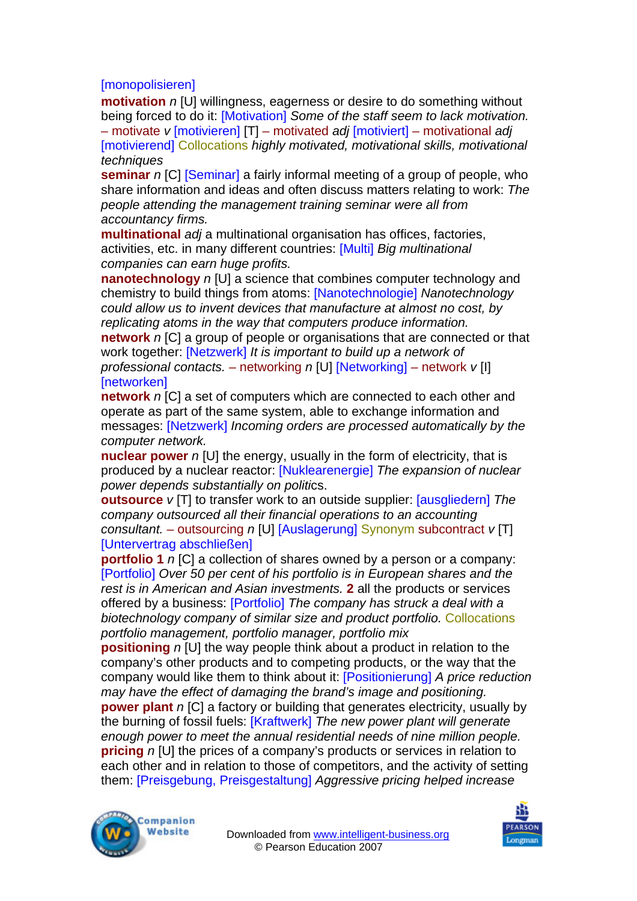## [monopolisieren]

**motivation** *n* [U] willingness, eagerness or desire to do something without being forced to do it: [Motivation] *Some of the staff seem to lack motivation.* 

– motivate *v* [motivieren] [T] – motivated *adj* [motiviert] – motivational *adj*  [motivierend] Collocations *highly motivated, motivational skills, motivational techniques* 

**seminar** *n* [C] [Seminar] a fairly informal meeting of a group of people, who share information and ideas and often discuss matters relating to work: *The people attending the management training seminar were all from accountancy firms.* 

**multinational** *adj* a multinational organisation has offices, factories, activities, etc. in many different countries: [Multi] *Big multinational companies can earn huge profits.* 

**nanotechnology** *n* [U] a science that combines computer technology and chemistry to build things from atoms: [Nanotechnologie] *Nanotechnology could allow us to invent devices that manufacture at almost no cost, by replicating atoms in the way that computers produce information.*  **network** *n* [C] a group of people or organisations that are connected or that work together: [Netzwerk] *It is important to build up a network of professional contacts.* – networking *n* [U] [Networking] – network *v* [I] **[**networken]

**network** *n* [C] a set of computers which are connected to each other and operate as part of the same system, able to exchange information and messages: [Netzwerk] *Incoming orders are processed automatically by the computer network.* 

**nuclear power** *n* [U] the energy, usually in the form of electricity, that is produced by a nuclear reactor: [Nuklearenergie] *The expansion of nuclear power depends substantially on politi*cs.

**outsource** *v* [T] to transfer work to an outside supplier: [ausgliedern] *The company outsourced all their financial operations to an accounting consultant.* – outsourcing *n* [U] [Auslagerung] Synonym subcontract *v* [T] [Untervertrag abschließen]

**portfolio 1** *n* ICI a collection of shares owned by a person or a company: [Portfolio] *Over 50 per cent of his portfolio is in European shares and the rest is in American and Asian investments.* **2** all the products or services offered by a business: [Portfolio] *The company has struck a deal with a biotechnology company of similar size and product portfolio.* Collocations *portfolio management, portfolio manager, portfolio mix* 

**positioning** *n* [U] the way people think about a product in relation to the company's other products and to competing products, or the way that the company would like them to think about it: [Positionierung] *A price reduction may have the effect of damaging the brand's image and positioning.*  **power plant** *n* [C] a factory or building that generates electricity, usually by the burning of fossil fuels: [Kraftwerk] *The new power plant will generate enough power to meet the annual residential needs of nine million people.*  **pricing** *n* [U] the prices of a company's products or services in relation to each other and in relation to those of competitors, and the activity of setting them: [Preisgebung, Preisgestaltung] *Aggressive pricing helped increase* 



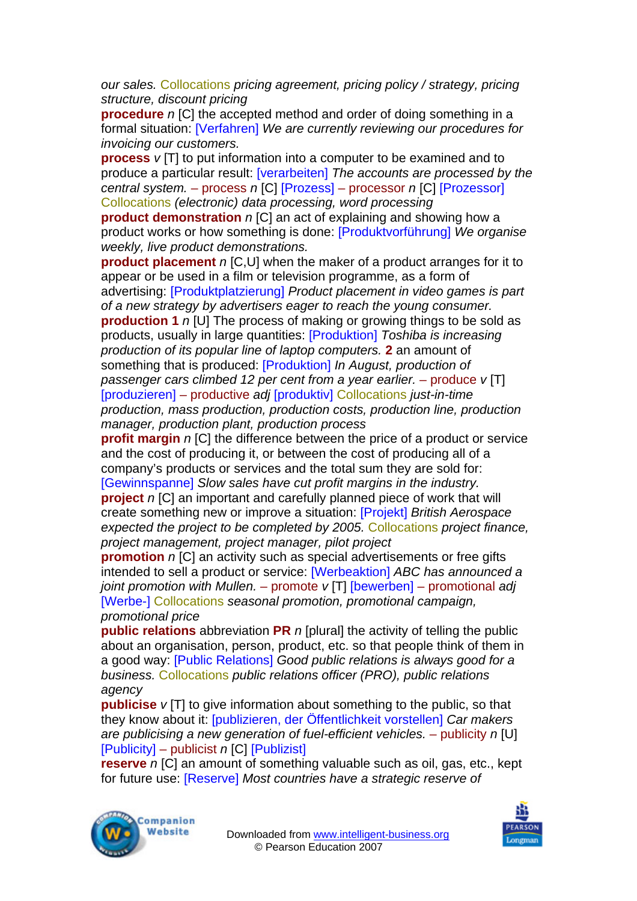*our sales.* Collocations *pricing agreement, pricing policy / strategy, pricing structure, discount pricing* 

**procedure** *n* [C] the accepted method and order of doing something in a formal situation: [Verfahren] *We are currently reviewing our procedures for invoicing our customers.* 

**process**  $v$  [T] to put information into a computer to be examined and to produce a particular result: [verarbeiten] *The accounts are processed by the central system.* – process *n* [C] [Prozess] – processor *n* [C] [Prozessor] Collocations *(electronic) data processing, word processing* 

**product demonstration** *n* [C] an act of explaining and showing how a product works or how something is done: [Produktvorführung] *We organise weekly, live product demonstrations.* 

**product placement** *n* [C,U] when the maker of a product arranges for it to appear or be used in a film or television programme, as a form of advertising: [Produktplatzierung] *Product placement in video games is part of a new strategy by advertisers eager to reach the young consumer.*  **production 1** *n* [U] The process of making or growing things to be sold as products, usually in large quantities: [Produktion] *Toshiba is increasing production of its popular line of laptop computers.* **2** an amount of something that is produced: [Produktion] *In August, production of passenger cars climbed 12 per cent from a year earlier.* – produce *v* [T] [produzieren] – productive *adj* [produktiv] Collocations *just-in-time production, mass production, production costs, production line, production* 

*manager, production plant, production process*  **profit margin** *n* [C] the difference between the price of a product or service and the cost of producing it, or between the cost of producing all of a company's products or services and the total sum they are sold for:

[Gewinnspanne] *Slow sales have cut profit margins in the industry.*  **project** *n* [C] an important and carefully planned piece of work that will create something new or improve a situation: [Projekt] *British Aerospace* 

*expected the project to be completed by 2005.* Collocations *project finance, project management, project manager, pilot project* 

**promotion** *n* [C] an activity such as special advertisements or free gifts intended to sell a product or service: [Werbeaktion] *ABC has announced a joint promotion with Mullen.* – promote *v* [T] [bewerben] – promotional *adj*  [Werbe-] Collocations *seasonal promotion, promotional campaign, promotional price* 

**public relations** abbreviation **PR** *n* [plural] the activity of telling the public about an organisation, person, product, etc. so that people think of them in a good way: [Public Relations] *Good public relations is always good for a business.* Collocations *public relations officer (PRO), public relations agency* 

**publicise** *v* [T] to give information about something to the public, so that they know about it: [publizieren, der Öffentlichkeit vorstellen] *Car makers are publicising a new generation of fuel-efficient vehicles. – publicity n [U]* [Publicity] – publicist *n* [C] [Publizist]

**reserve** *n* [C] an amount of something valuable such as oil, gas, etc., kept for future use: [Reserve] *Most countries have a strategic reserve of* 



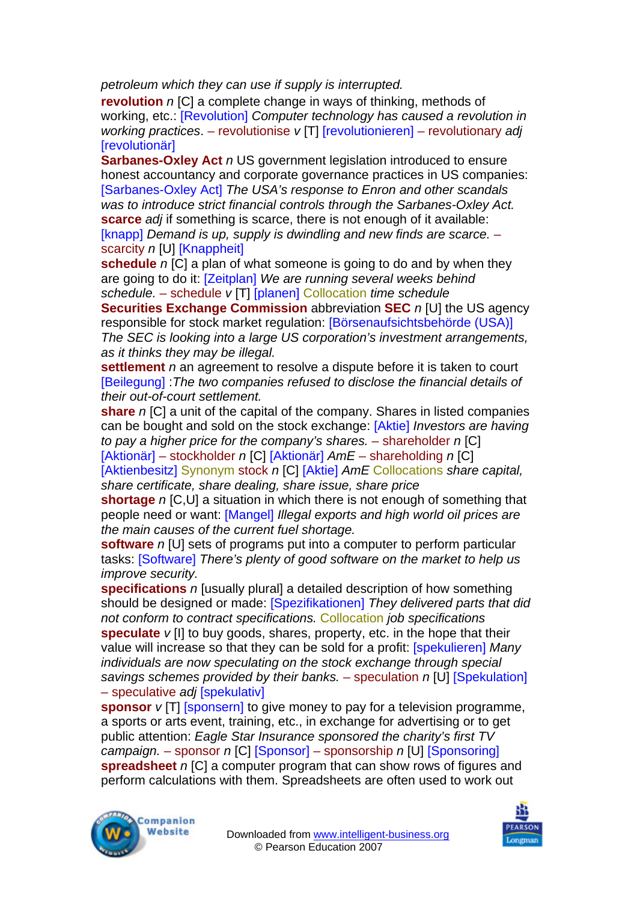*petroleum which they can use if supply is interrupted.* 

**revolution** *n* ICI a complete change in ways of thinking, methods of working, etc.: [Revolution] *Computer technology has caused a revolution in working practices*. – revolutionise *v* [T] [revolutionieren] – revolutionary *adj*  [revolutionär]

**Sarbanes-Oxley Act** *n* US government legislation introduced to ensure honest accountancy and corporate governance practices in US companies: [Sarbanes-Oxley Act] *The USA's response to Enron and other scandals was to introduce strict financial controls through the Sarbanes-Oxley Act.* **scarce** *adj* if something is scarce, there is not enough of it available: [knapp] *Demand is up, supply is dwindling and new finds are scarce.* – scarcity *n* [U] [Knappheit]

**schedule** *n* [C] a plan of what someone is going to do and by when they are going to do it: [Zeitplan] *We are running several weeks behind schedule.* – schedule *v* [T] [planen] Collocation *time schedule* 

**Securities Exchange Commission** abbreviation **SEC** *n* [U] the US agency responsible for stock market regulation: [Börsenaufsichtsbehörde (USA)] *The SEC is looking into a large US corporation's investment arrangements, as it thinks they may be illegal.* 

**settlement** *n* an agreement to resolve a dispute before it is taken to court [Beilegung] :*The two companies refused to disclose the financial details of their out-of-court settlement.* 

**share** *n* [C] a unit of the capital of the company. Shares in listed companies can be bought and sold on the stock exchange: [Aktie] *Investors are having to pay a higher price for the company's shares.* – shareholder *n* [C] [Aktionär] – stockholder *n* [C] [Aktionär] *AmE* – shareholding *n* [C] [Aktienbesitz] Synonym stock *n* [C] [Aktie] *AmE* Collocations *share capital, share certificate, share dealing, share issue, share price* 

**shortage** *n* [C,U] a situation in which there is not enough of something that people need or want: [Mangel] *Illegal exports and high world oil prices are the main causes of the current fuel shortage.* 

**software** *n* [U] sets of programs put into a computer to perform particular tasks: [Software] *There's plenty of good software on the market to help us improve security.* 

**specifications** *n* [usually plural] a detailed description of how something should be designed or made: [Spezifikationen] *They delivered parts that did not conform to contract specifications.* Collocation *job specifications*  **speculate** *v* [I] to buy goods, shares, property, etc. in the hope that their value will increase so that they can be sold for a profit: [spekulieren] *Many individuals are now speculating on the stock exchange through special savings schemes provided by their banks.* – speculation *n* [U] [Spekulation] – speculative *adj* [spekulativ]

**sponsor** *v* [T] [sponsern] to give money to pay for a television programme, a sports or arts event, training, etc., in exchange for advertising or to get public attention: *Eagle Star Insurance sponsored the charity's first TV campaign.* – sponsor *n* [C] [Sponsor] – sponsorship *n* [U] [Sponsoring] **spreadsheet** *n* [C] a computer program that can show rows of figures and perform calculations with them. Spreadsheets are often used to work out



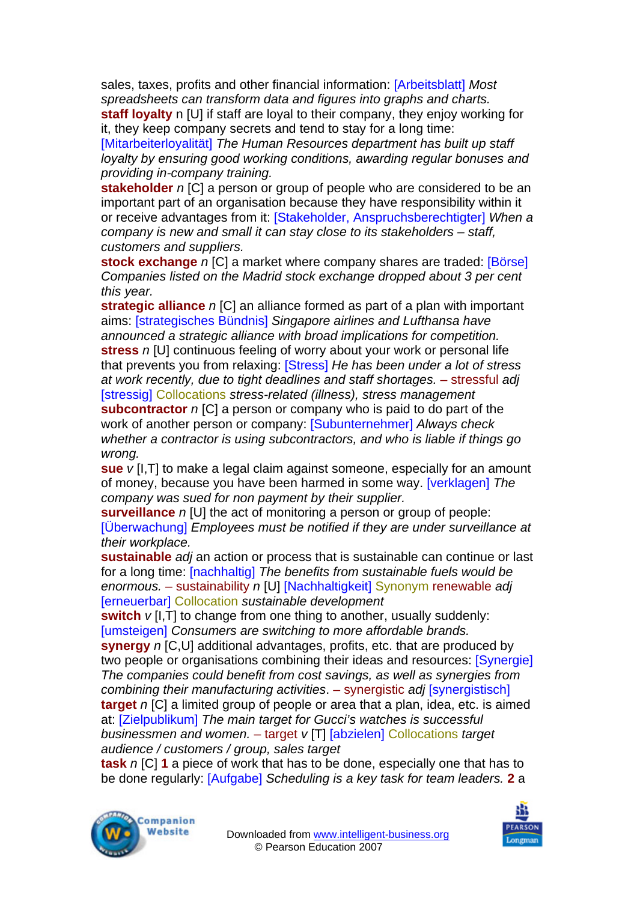sales, taxes, profits and other financial information: [Arbeitsblatt] *Most spreadsheets can transform data and figures into graphs and charts.* 

**staff loyalty** n [U] if staff are loyal to their company, they enjoy working for it, they keep company secrets and tend to stay for a long time:

[Mitarbeiterloyalität] *The Human Resources department has built up staff loyalty by ensuring good working conditions, awarding regular bonuses and providing in-company training.* 

**stakeholder** *n* [C] a person or group of people who are considered to be an important part of an organisation because they have responsibility within it or receive advantages from it: [Stakeholder, Anspruchsberechtigter] *When a company is new and small it can stay close to its stakeholders – staff, customers and suppliers.* 

**stock exchange** *n* [C] a market where company shares are traded: [Börse] *Companies listed on the Madrid stock exchange dropped about 3 per cent this year.* 

**strategic alliance** *n* [C] an alliance formed as part of a plan with important aims: [strategisches Bündnis] *Singapore airlines and Lufthansa have announced a strategic alliance with broad implications for competition.*  **stress** *n* [U] continuous feeling of worry about your work or personal life that prevents you from relaxing: [Stress] *He has been under a lot of stress at work recently, due to tight deadlines and staff shortages.* – stressful *adj*  [stressig] Collocations *stress-related (illness), stress management*  **subcontractor** *n* [C] a person or company who is paid to do part of the work of another person or company: [Subunternehmer] *Always check whether a contractor is using subcontractors, and who is liable if things go wrong.* 

**sue** *v* [I,T] to make a legal claim against someone, especially for an amount of money, because you have been harmed in some way. [verklagen] *The company was sued for non payment by their supplier.* 

**surveillance** *n* [U] the act of monitoring a person or group of people: [Überwachung] *Employees must be notified if they are under surveillance at their workplace.* 

**sustainable** *adj* an action or process that is sustainable can continue or last for a long time: [nachhaltig] *The benefits from sustainable fuels would be enormous.* – sustainability *n* [U] [Nachhaltigkeit] Synonym renewable *adj*  [erneuerbar] Collocation *sustainable development* 

**switch**  $v$  [I, T] to change from one thing to another, usually suddenly: [umsteigen] *Consumers are switching to more affordable brands.* 

**synergy** *n* [C,U] additional advantages, profits, etc. that are produced by two people or organisations combining their ideas and resources: [Synergie] *The companies could benefit from cost savings, as well as synergies from combining their manufacturing activities*. – synergistic *adj* [synergistisch] **target** *n* [C] a limited group of people or area that a plan, idea, etc. is aimed at: [Zielpublikum] *The main target for Gucci's watches is successful businessmen and women.* – target *v* [T] [abzielen] Collocations *target audience / customers / group, sales target*

**task** *n* [C] **1** a piece of work that has to be done, especially one that has to be done regularly: [Aufgabe] *Scheduling is a key task for team leaders.* **2** a